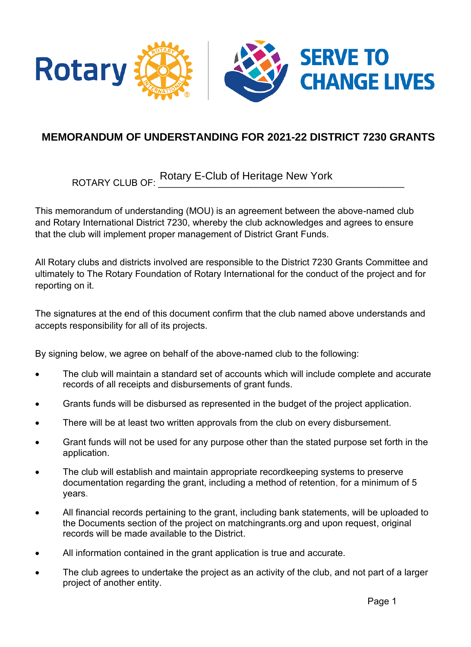

## **MEMORANDUM OF UNDERSTANDING FOR 2021-22 DISTRICT 7230 GRANTS**

ROTARY CLUB OF:  $\frac{1}{2}$  and  $\frac{1}{2}$  are contracted to  $\frac{1}{2}$  and  $\frac{1}{2}$  and  $\frac{1}{2}$  and  $\frac{1}{2}$  and  $\frac{1}{2}$  and  $\frac{1}{2}$  and  $\frac{1}{2}$  and  $\frac{1}{2}$  and  $\frac{1}{2}$  and  $\frac{1}{2}$  and  $\frac{1}{2}$  and  $\frac{1}{2}$ Rotary E-Club of Heritage New York

This memorandum of understanding (MOU) is an agreement between the above-named club and Rotary International District 7230, whereby the club acknowledges and agrees to ensure that the club will implement proper management of District Grant Funds.

All Rotary clubs and districts involved are responsible to the District 7230 Grants Committee and ultimately to The Rotary Foundation of Rotary International for the conduct of the project and for reporting on it.

The signatures at the end of this document confirm that the club named above understands and accepts responsibility for all of its projects.

By signing below, we agree on behalf of the above-named club to the following:

- The club will maintain a standard set of accounts which will include complete and accurate records of all receipts and disbursements of grant funds.
- Grants funds will be disbursed as represented in the budget of the project application.
- There will be at least two written approvals from the club on every disbursement.
- Grant funds will not be used for any purpose other than the stated purpose set forth in the application.
- The club will establish and maintain appropriate recordkeeping systems to preserve documentation regarding the grant, including a method of retention, for a minimum of 5 years.
- All financial records pertaining to the grant, including bank statements, will be uploaded to the Documents section of the project on matchingrants.org and upon request, original records will be made available to the District.
- All information contained in the grant application is true and accurate.
- The club agrees to undertake the project as an activity of the club, and not part of a larger project of another entity.